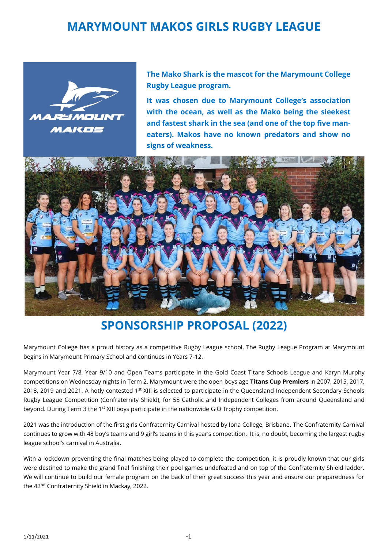# **MARYMOUNT MAKOS GIRLS RUGBY LEAGUE**



**The Mako Shark is the mascot for the Marymount College Rugby League program.** 

**It was chosen due to Marymount College's association with the ocean, as well as the Mako being the sleekest and fastest shark in the sea (and one of the top five maneaters). Makos have no known predators and show no signs of weakness.**



# **SPONSORSHIP PROPOSAL (2022)**

Marymount College has a proud history as a competitive Rugby League school. The Rugby League Program at Marymount begins in Marymount Primary School and continues in Years 7-12.

Marymount Year 7/8, Year 9/10 and Open Teams participate in the Gold Coast Titans Schools League and Karyn Murphy competitions on Wednesday nights in Term 2. Marymount were the open boys age **Titans Cup Premiers** in 2007, 2015, 2017, 2018, 2019 and 2021. A hotly contested 1<sup>st</sup> XIII is selected to participate in the Queensland Independent Secondary Schools Rugby League Competition (Confraternity Shield), for 58 Catholic and Independent Colleges from around Queensland and beyond. During Term 3 the 1<sup>st</sup> XIII boys participate in the nationwide GIO Trophy competition.

2021 was the introduction of the first girls Confraternity Carnival hosted by Iona College, Brisbane. The Confraternity Carnival continues to grow with 48 boy's teams and 9 girl's teams in this year's competition. It is, no doubt, becoming the largest rugby league school's carnival in Australia.

With a lockdown preventing the final matches being played to complete the competition, it is proudly known that our girls were destined to make the grand final finishing their pool games undefeated and on top of the Confraternity Shield ladder. We will continue to build our female program on the back of their great success this year and ensure our preparedness for the 42<sup>nd</sup> Confraternity Shield in Mackay, 2022.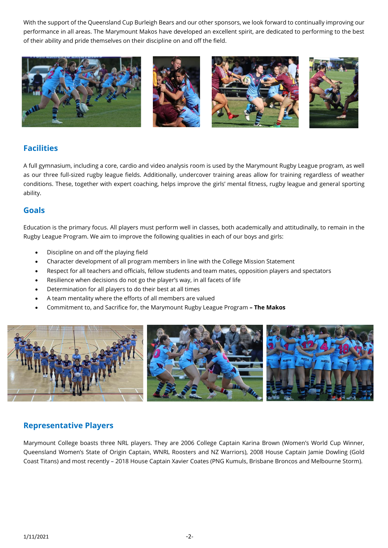With the support of the Queensland Cup Burleigh Bears and our other sponsors, we look forward to continually improving our performance in all areas. The Marymount Makos have developed an excellent spirit, are dedicated to performing to the best of their ability and pride themselves on their discipline on and off the field.



## **Facilities**

A full gymnasium, including a core, cardio and video analysis room is used by the Marymount Rugby League program, as well as our three full-sized rugby league fields. Additionally, undercover training areas allow for training regardless of weather conditions. These, together with expert coaching, helps improve the girls' mental fitness, rugby league and general sporting ability.

### **Goals**

Education is the primary focus. All players must perform well in classes, both academically and attitudinally, to remain in the Rugby League Program. We aim to improve the following qualities in each of our boys and girls:

- Discipline on and off the playing field
- Character development of all program members in line with the College Mission Statement
- Respect for all teachers and officials, fellow students and team mates, opposition players and spectators
- Resilience when decisions do not go the player's way, in all facets of life
- Determination for all players to do their best at all times
- A team mentality where the efforts of all members are valued
- Commitment to, and Sacrifice for, the Marymount Rugby League Program **– The Makos**



### **Representative Players**

Marymount College boasts three NRL players. They are 2006 College Captain Karina Brown (Women's World Cup Winner, Queensland Women's State of Origin Captain, WNRL Roosters and NZ Warriors), 2008 House Captain Jamie Dowling (Gold Coast Titans) and most recently – 2018 House Captain Xavier Coates (PNG Kumuls, Brisbane Broncos and Melbourne Storm).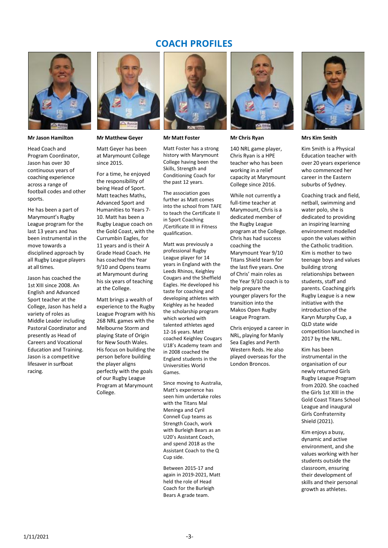### **COACH PROFILES**



**Mr Jason Hamilton**

Head Coach and Program Coordinator, Jason has over 30 continuous years of coaching experience across a range of football codes and other sports.

He has been a part of Marymount's Rugby League program for the last 13 years and has been instrumental in the move towards a disciplined approach by all Rugby League players at all times.

Jason has coached the 1st XIII since 2008. An English and Advanced Sport teacher at the College, Jason has held a variety of roles as Middle Leader including Pastoral Coordinator and presently as Head of Careers and Vocational Education and Training. Jason is a competitive lifesaver in surfboat racing.



**Mr Matthew Geyer**

Matt Geyer has been at Marymount College since 2015.

For a time, he enjoyed the responsibility of being Head of Sport. Matt teaches Maths, Advanced Sport and Humanities to Years 7- 10. Matt has been a Rugby League coach on the Gold Coast, with the Currumbin Eagles, for 11 years and is their A Grade Head Coach. He has coached the Year 9/10 and Opens teams at Marymount during his six years of teaching at the College.

Matt brings a wealth of experience to the Rugby League Program with his 268 NRL games with the Melbourne Storm and playing State of Origin for New South Wales. His focus on building the person before building the player aligns perfectly with the goals of our Rugby League Program at Marymount College.



#### **Mr Matt Foster**

Matt Foster has a strong history with Marymount College having been the Skills, Strength and Conditioning Coach for the past 12 years.

The association goes further as Matt comes into the school from TAFE to teach the Certificate II in Sport Coaching /Certificate III in Fitness qualification.

Matt was previously a professional Rugby League player for 14 years in England with the Leeds Rhinos, Keighley Cougars and the Sheffield Eagles. He developed his taste for coaching and developing athletes with Keighley as he headed the scholarship program which worked with talented athletes aged 12-16 years. Matt coached Keighley Cougars U18's Academy team and in 2008 coached the England students in the Universities World Games.

Since moving to Australia, Matt's experience has seen him undertake roles with the Titans Mal Meninga and Cyril Connell Cup teams as Strength Coach, work with Burleigh Bears as an U20's Assistant Coach, and spend 2018 as the Assistant Coach to the Q Cup side.

Between 2015-17 and again in 2019-2021, Matt held the role of Head Coach for the Burleigh Bears A grade team.



**Mr Chris Ryan**

140 NRL game player, Chris Ryan is a HPE teacher who has been working in a relief capacity at Marymount College since 2016.

While not currently a full-time teacher at Marymount, Chris is a dedicated member of the Rugby League program at the College. Chris has had success coaching the Marymount Year 9/10 Titans Shield team for the last five years. One of Chris' main roles as the Year 9/10 coach is to help prepare the younger players for the transition into the Makos Open Rugby League Program.

Chris enjoyed a career in NRL, playing for Manly Sea Eagles and Perth Western Reds. He also played overseas for the London Broncos.



**Mrs Kim Smith**

Kim Smith is a Physical Education teacher with over 20 years experience who commenced her career in the Eastern suburbs of Sydney.

Coaching track and field, netball, swimming and water polo, she is dedicated to providing an inspiring learning environment modelled upon the values within the Catholic tradition. Kim is mother to two teenage boys and values building strong relationships between students, staff and parents. Coaching girls Rugby League is a new initiative with the introduction of the Karyn Murphy Cup, a QLD state wide competition launched in 2017 by the NRL.

Kim has been instrumental in the organisation of our newly returned Girls Rugby League Program from 2020. She coached the Girls 1st XIII in the Gold Coast Titans School League and inaugural Girls Confraternity Shield (2021).

Kim enjoys a busy, dynamic and active environment, and she values working with her students outside the classroom, ensuring their development of skills and their personal growth as athletes.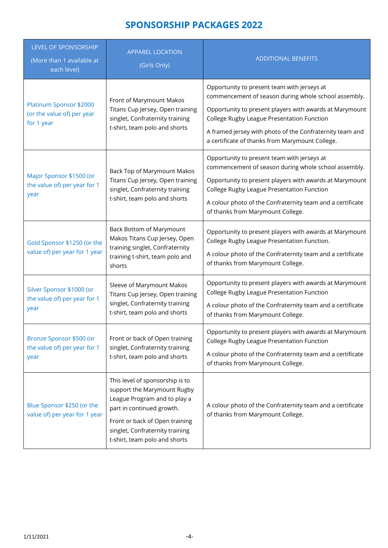## **SPONSORSHIP PACKAGES 2022**

| LEVEL OF SPONSORSHIP<br>(More than 1 available at<br>each level)    | <b>APPAREL LOCATION</b><br>(Girls Only)                                                                                                                                                                                           | <b>ADDITIONAL BENEFITS</b>                                                                                  |
|---------------------------------------------------------------------|-----------------------------------------------------------------------------------------------------------------------------------------------------------------------------------------------------------------------------------|-------------------------------------------------------------------------------------------------------------|
| Platinum Sponsor \$2000<br>(or the value of) per year<br>for 1 year | Front of Marymount Makos<br>Titans Cup Jersey, Open training<br>singlet, Confraternity training<br>t-shirt, team polo and shorts                                                                                                  | Opportunity to present team with jerseys at<br>commencement of season during whole school assembly.         |
|                                                                     |                                                                                                                                                                                                                                   | Opportunity to present players with awards at Marymount<br>College Rugby League Presentation Function       |
|                                                                     |                                                                                                                                                                                                                                   | A framed jersey with photo of the Confraternity team and<br>a certificate of thanks from Marymount College. |
| Major Sponsor \$1500 (or<br>the value of) per year for 1<br>year    | Back Top of Marymount Makos<br>Titans Cup Jersey, Open training<br>singlet, Confraternity training<br>t-shirt, team polo and shorts                                                                                               | Opportunity to present team with jerseys at<br>commencement of season during whole school assembly.         |
|                                                                     |                                                                                                                                                                                                                                   | Opportunity to present players with awards at Marymount<br>College Rugby League Presentation Function       |
|                                                                     |                                                                                                                                                                                                                                   | A colour photo of the Confraternity team and a certificate<br>of thanks from Marymount College.             |
| Gold Sponsor \$1250 (or the<br>value of) per year for 1 year        | Back Bottom of Marymount<br>Makos Titans Cup Jersey, Open<br>training singlet, Confraternity<br>training t-shirt, team polo and<br>shorts                                                                                         | Opportunity to present players with awards at Marymount<br>College Rugby League Presentation Function.      |
|                                                                     |                                                                                                                                                                                                                                   | A colour photo of the Confraternity team and a certificate<br>of thanks from Marymount College.             |
| Silver Sponsor \$1000 (or<br>the value of) per year for 1<br>year   | Sleeve of Marymount Makos<br>Titans Cup Jersey, Open training<br>singlet, Confraternity training<br>t-shirt, team polo and shorts                                                                                                 | Opportunity to present players with awards at Marymount<br>College Rugby League Presentation Function       |
|                                                                     |                                                                                                                                                                                                                                   | A colour photo of the Confraternity team and a certificate<br>of thanks from Marymount College.             |
| Bronze Sponsor \$500 (or<br>the value of) per year for 1<br>year    | Front or back of Open training<br>singlet, Confraternity training<br>t-shirt, team polo and shorts                                                                                                                                | Opportunity to present players with awards at Marymount<br>College Rugby League Presentation Function       |
|                                                                     |                                                                                                                                                                                                                                   | A colour photo of the Confraternity team and a certificate<br>of thanks from Marymount College.             |
| Blue Sponsor \$250 (or the<br>value of) per year for 1 year         | This level of sponsorship is to<br>support the Marymount Rugby<br>League Program and to play a<br>part in continued growth.<br>Front or back of Open training<br>singlet, Confraternity training<br>t-shirt, team polo and shorts | A colour photo of the Confraternity team and a certificate<br>of thanks from Marymount College.             |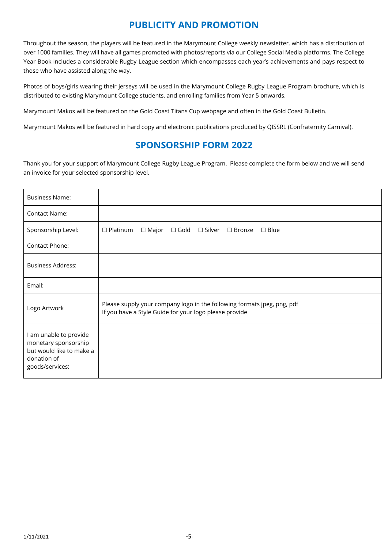## **PUBLICITY AND PROMOTION**

Throughout the season, the players will be featured in the Marymount College weekly newsletter, which has a distribution of over 1000 families. They will have all games promoted with photos/reports via our College Social Media platforms. The College Year Book includes a considerable Rugby League section which encompasses each year's achievements and pays respect to those who have assisted along the way.

Photos of boys/girls wearing their jerseys will be used in the Marymount College Rugby League Program brochure, which is distributed to existing Marymount College students, and enrolling families from Year 5 onwards.

Marymount Makos will be featured on the Gold Coast Titans Cup webpage and often in the Gold Coast Bulletin.

Marymount Makos will be featured in hard copy and electronic publications produced by QISSRL (Confraternity Carnival).

## **SPONSORSHIP FORM 2022**

Thank you for your support of Marymount College Rugby League Program. Please complete the form below and we will send an invoice for your selected sponsorship level.

| <b>Business Name:</b>                                                                                        |                                                                                                                                   |  |  |
|--------------------------------------------------------------------------------------------------------------|-----------------------------------------------------------------------------------------------------------------------------------|--|--|
| <b>Contact Name:</b>                                                                                         |                                                                                                                                   |  |  |
| Sponsorship Level:                                                                                           | $\Box$ Platinum<br>$\Box$ Major<br>$\Box$ Gold $\Box$ Silver $\Box$ Bronze<br>$\Box$ Blue                                         |  |  |
| Contact Phone:                                                                                               |                                                                                                                                   |  |  |
| Business Address:                                                                                            |                                                                                                                                   |  |  |
| Email:                                                                                                       |                                                                                                                                   |  |  |
| Logo Artwork                                                                                                 | Please supply your company logo in the following formats jpeg, png, pdf<br>If you have a Style Guide for your logo please provide |  |  |
| I am unable to provide<br>monetary sponsorship<br>but would like to make a<br>donation of<br>goods/services: |                                                                                                                                   |  |  |